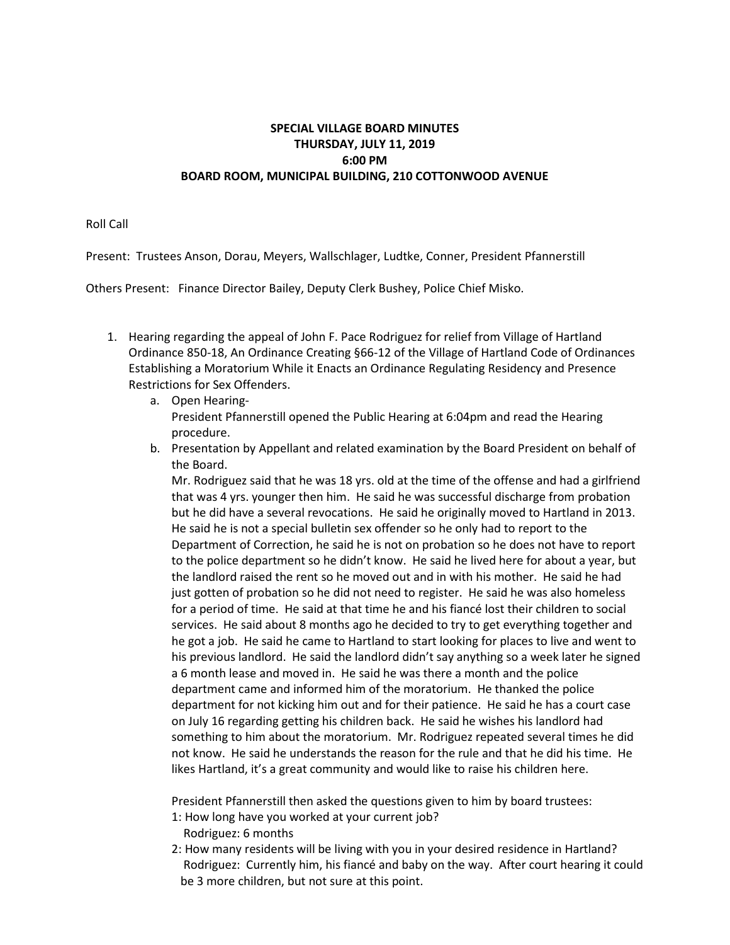## **SPECIAL VILLAGE BOARD MINUTES THURSDAY, JULY 11, 2019 6:00 PM BOARD ROOM, MUNICIPAL BUILDING, 210 COTTONWOOD AVENUE**

Roll Call

Present: Trustees Anson, Dorau, Meyers, Wallschlager, Ludtke, Conner, President Pfannerstill

Others Present: Finance Director Bailey, Deputy Clerk Bushey, Police Chief Misko.

- 1. Hearing regarding the appeal of John F. Pace Rodriguez for relief from Village of Hartland Ordinance 850-18, An Ordinance Creating §66-12 of the Village of Hartland Code of Ordinances Establishing a Moratorium While it Enacts an Ordinance Regulating Residency and Presence Restrictions for Sex Offenders.
	- a. Open Hearing-President Pfannerstill opened the Public Hearing at 6:04pm and read the Hearing procedure.
	- b. Presentation by Appellant and related examination by the Board President on behalf of the Board.

Mr. Rodriguez said that he was 18 yrs. old at the time of the offense and had a girlfriend that was 4 yrs. younger then him. He said he was successful discharge from probation but he did have a several revocations. He said he originally moved to Hartland in 2013. He said he is not a special bulletin sex offender so he only had to report to the Department of Correction, he said he is not on probation so he does not have to report to the police department so he didn't know. He said he lived here for about a year, but the landlord raised the rent so he moved out and in with his mother. He said he had just gotten of probation so he did not need to register. He said he was also homeless for a period of time. He said at that time he and his fiancé lost their children to social services. He said about 8 months ago he decided to try to get everything together and he got a job. He said he came to Hartland to start looking for places to live and went to his previous landlord. He said the landlord didn't say anything so a week later he signed a 6 month lease and moved in. He said he was there a month and the police department came and informed him of the moratorium. He thanked the police department for not kicking him out and for their patience. He said he has a court case on July 16 regarding getting his children back. He said he wishes his landlord had something to him about the moratorium. Mr. Rodriguez repeated several times he did not know. He said he understands the reason for the rule and that he did his time. He likes Hartland, it's a great community and would like to raise his children here.

President Pfannerstill then asked the questions given to him by board trustees:

- 1: How long have you worked at your current job? Rodriguez: 6 months
- 2: How many residents will be living with you in your desired residence in Hartland? Rodriguez: Currently him, his fiancé and baby on the way. After court hearing it could be 3 more children, but not sure at this point.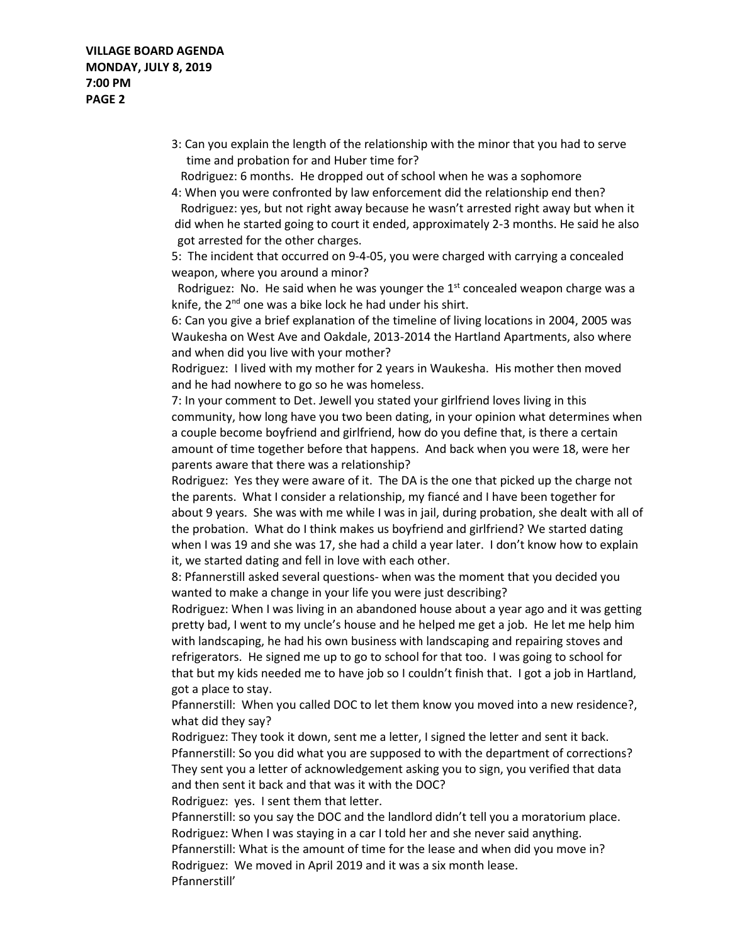3: Can you explain the length of the relationship with the minor that you had to serve time and probation for and Huber time for?

 Rodriguez: 6 months. He dropped out of school when he was a sophomore 4: When you were confronted by law enforcement did the relationship end then?

 Rodriguez: yes, but not right away because he wasn't arrested right away but when it did when he started going to court it ended, approximately 2-3 months. He said he also got arrested for the other charges.

5: The incident that occurred on 9-4-05, you were charged with carrying a concealed weapon, where you around a minor?

Rodriguez: No. He said when he was younger the  $1<sup>st</sup>$  concealed weapon charge was a knife, the  $2^{nd}$  one was a bike lock he had under his shirt.

6: Can you give a brief explanation of the timeline of living locations in 2004, 2005 was Waukesha on West Ave and Oakdale, 2013-2014 the Hartland Apartments, also where and when did you live with your mother?

Rodriguez: I lived with my mother for 2 years in Waukesha. His mother then moved and he had nowhere to go so he was homeless.

7: In your comment to Det. Jewell you stated your girlfriend loves living in this community, how long have you two been dating, in your opinion what determines when a couple become boyfriend and girlfriend, how do you define that, is there a certain amount of time together before that happens. And back when you were 18, were her parents aware that there was a relationship?

Rodriguez: Yes they were aware of it. The DA is the one that picked up the charge not the parents. What I consider a relationship, my fiancé and I have been together for about 9 years. She was with me while I was in jail, during probation, she dealt with all of the probation. What do I think makes us boyfriend and girlfriend? We started dating when I was 19 and she was 17, she had a child a year later. I don't know how to explain it, we started dating and fell in love with each other.

8: Pfannerstill asked several questions- when was the moment that you decided you wanted to make a change in your life you were just describing?

Rodriguez: When I was living in an abandoned house about a year ago and it was getting pretty bad, I went to my uncle's house and he helped me get a job. He let me help him with landscaping, he had his own business with landscaping and repairing stoves and refrigerators. He signed me up to go to school for that too. I was going to school for that but my kids needed me to have job so I couldn't finish that. I got a job in Hartland, got a place to stay.

Pfannerstill: When you called DOC to let them know you moved into a new residence?, what did they say?

Rodriguez: They took it down, sent me a letter, I signed the letter and sent it back. Pfannerstill: So you did what you are supposed to with the department of corrections? They sent you a letter of acknowledgement asking you to sign, you verified that data and then sent it back and that was it with the DOC?

Rodriguez: yes. I sent them that letter.

Pfannerstill: so you say the DOC and the landlord didn't tell you a moratorium place. Rodriguez: When I was staying in a car I told her and she never said anything. Pfannerstill: What is the amount of time for the lease and when did you move in?

Rodriguez: We moved in April 2019 and it was a six month lease. Pfannerstill'